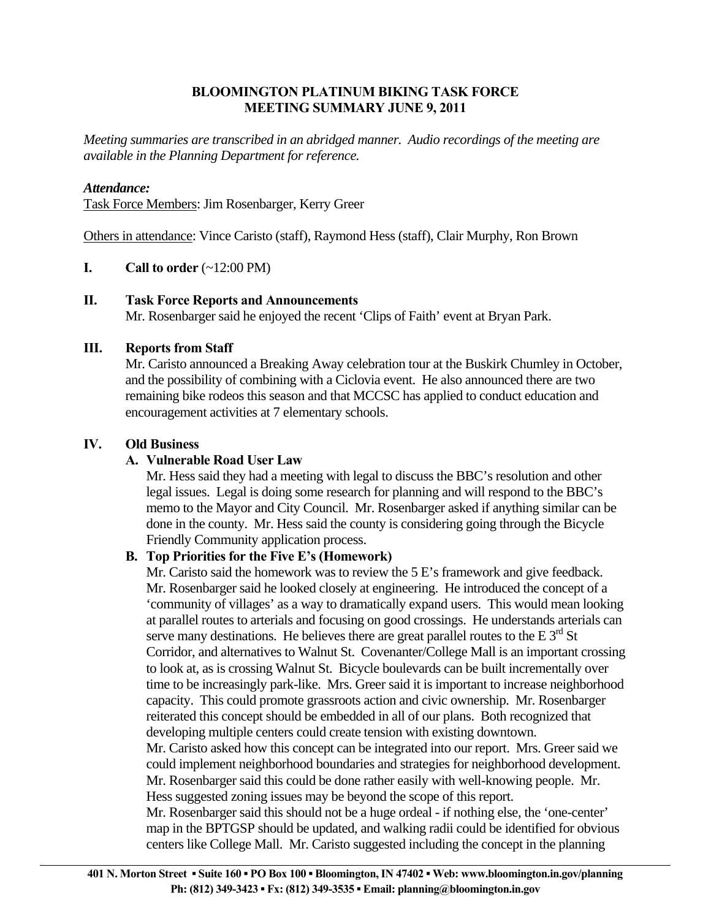## **BLOOMINGTON PLATINUM BIKING TASK FORCE MEETING SUMMARY JUNE 9, 2011**

*Meeting summaries are transcribed in an abridged manner. Audio recordings of the meeting are available in the Planning Department for reference.* 

### *Attendance:*

Task Force Members: Jim Rosenbarger, Kerry Greer

Others in attendance: Vince Caristo (staff), Raymond Hess (staff), Clair Murphy, Ron Brown

## **I.** Call to order  $(\sim 12:00 \text{ PM})$

#### **II. Task Force Reports and Announcements**

Mr. Rosenbarger said he enjoyed the recent 'Clips of Faith' event at Bryan Park.

#### **III. Reports from Staff**

Mr. Caristo announced a Breaking Away celebration tour at the Buskirk Chumley in October, and the possibility of combining with a Ciclovia event. He also announced there are two remaining bike rodeos this season and that MCCSC has applied to conduct education and encouragement activities at 7 elementary schools.

## **IV. Old Business**

# **A. Vulnerable Road User Law**

Mr. Hess said they had a meeting with legal to discuss the BBC's resolution and other legal issues. Legal is doing some research for planning and will respond to the BBC's memo to the Mayor and City Council. Mr. Rosenbarger asked if anything similar can be done in the county. Mr. Hess said the county is considering going through the Bicycle Friendly Community application process.

# **B. Top Priorities for the Five E's (Homework)**

Mr. Caristo said the homework was to review the 5 E's framework and give feedback. Mr. Rosenbarger said he looked closely at engineering. He introduced the concept of a 'community of villages' as a way to dramatically expand users. This would mean looking at parallel routes to arterials and focusing on good crossings. He understands arterials can serve many destinations. He believes there are great parallel routes to the E  $3<sup>rd</sup>$  St Corridor, and alternatives to Walnut St. Covenanter/College Mall is an important crossing to look at, as is crossing Walnut St. Bicycle boulevards can be built incrementally over time to be increasingly park-like. Mrs. Greer said it is important to increase neighborhood capacity. This could promote grassroots action and civic ownership. Mr. Rosenbarger reiterated this concept should be embedded in all of our plans. Both recognized that developing multiple centers could create tension with existing downtown. Mr. Caristo asked how this concept can be integrated into our report. Mrs. Greer said we could implement neighborhood boundaries and strategies for neighborhood development. Mr. Rosenbarger said this could be done rather easily with well-knowing people. Mr.

Hess suggested zoning issues may be beyond the scope of this report.

Mr. Rosenbarger said this should not be a huge ordeal - if nothing else, the 'one-center' map in the BPTGSP should be updated, and walking radii could be identified for obvious centers like College Mall. Mr. Caristo suggested including the concept in the planning